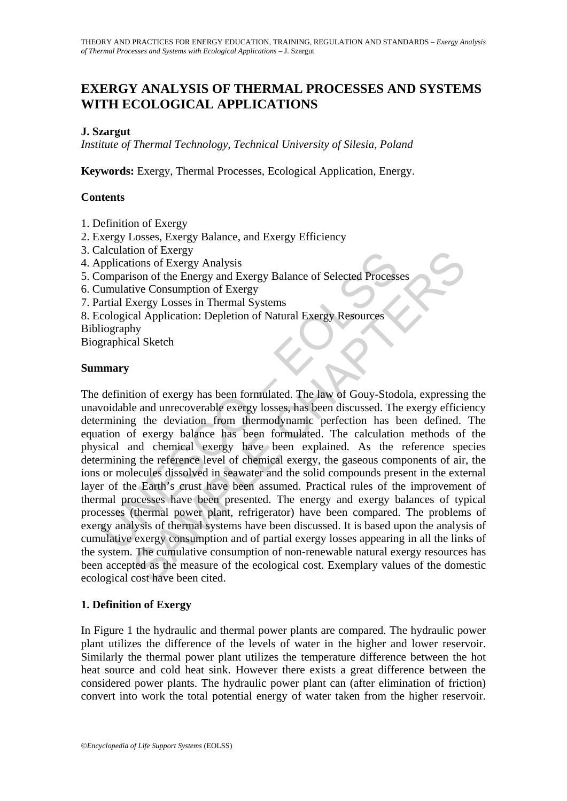# **EXERGY ANALYSIS OF THERMAL PROCESSES AND SYSTEMS WITH ECOLOGICAL APPLICATIONS**

### **J. Szargut**

*Institute of Thermal Technology, Technical University of Silesia, Poland* 

**Keywords:** Exergy, Thermal Processes, Ecological Application, Energy.

### **Contents**

- 1. Definition of Exergy
- 2. Exergy Losses, Exergy Balance, and Exergy Efficiency
- 3. Calculation of Exergy
- 4. Applications of Exergy Analysis
- 5. Comparison of the Energy and Exergy Balance of Selected Processes
- 6. Cumulative Consumption of Exergy
- 7. Partial Exergy Losses in Thermal Systems
- 8. Ecological Application: Depletion of Natural Exergy Resources

Bibliography

Biographical Sketch

#### **Summary**

acuration of Exergy<br>
omparison of the Energy Analysis<br>
pomparison of the Energy and Exergy Balance of Selected Process<br>
'umulative Consumption of Exergy Balance of Selected Process<br>
'umulative Consumption of Exergy<br>
artial ion of Exergy Analysis<br>
ions of Exergy Analysis<br>
ison of the Energy and Exergy Balance of Selected Processes<br>
ive Consumption of Exergy<br>
ive Consumption of Exergy<br>
incensity<br>
and Systems<br>
and Application: Depletion of Natu The definition of exergy has been formulated. The law of Gouy-Stodola, expressing the unavoidable and unrecoverable exergy losses, has been discussed. The exergy efficiency determining the deviation from thermodynamic perfection has been defined. The equation of exergy balance has been formulated. The calculation methods of the physical and chemical exergy have been explained. As the reference species determining the reference level of chemical exergy, the gaseous components of air, the ions or molecules dissolved in seawater and the solid compounds present in the external layer of the Earth's crust have been assumed. Practical rules of the improvement of thermal processes have been presented. The energy and exergy balances of typical processes (thermal power plant, refrigerator) have been compared. The problems of exergy analysis of thermal systems have been discussed. It is based upon the analysis of cumulative exergy consumption and of partial exergy losses appearing in all the links of the system. The cumulative consumption of non-renewable natural exergy resources has been accepted as the measure of the ecological cost. Exemplary values of the domestic ecological cost have been cited.

#### **1. Definition of Exergy**

In Figure 1 the hydraulic and thermal power plants are compared. The hydraulic power plant utilizes the difference of the levels of water in the higher and lower reservoir. Similarly the thermal power plant utilizes the temperature difference between the hot heat source and cold heat sink. However there exists a great difference between the considered power plants. The hydraulic power plant can (after elimination of friction) convert into work the total potential energy of water taken from the higher reservoir.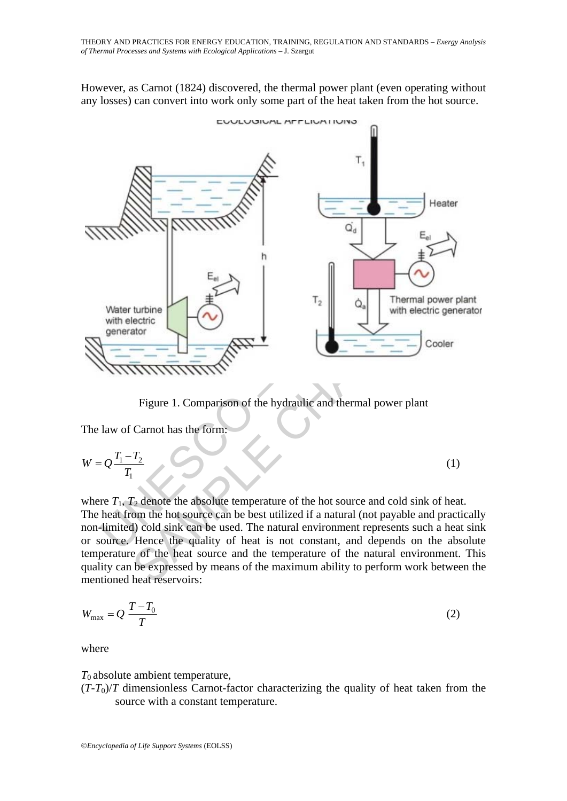However, as Carnot (1824) discovered, the thermal power plant (even operating without any losses) can convert into work only some part of the heat taken from the hot source.



Figure 1. Comparison of the hydraulic and thermal power plant

The law of Carnot has the form:

$$
W = Q \frac{T_1 - T_2}{T_1} \tag{1}
$$

where  $T_1$ ,  $T_2$  denote the absolute temperature of the hot source and cold sink of heat. The heat from the hot source can be best utilized if a natural (not payable and practically non-limited) cold sink can be used. The natural environment represents such a heat sink or source. Hence the quality of heat is not constant, and depends on the absolute temperature of the heat source and the temperature of the natural environment. This quality can be expressed by means of the maximum ability to perform work between the mentioned heat reservoirs:

$$
W_{\text{max}} = Q \frac{T - T_0}{T} \tag{2}
$$

where

 $T_0$  absolute ambient temperature,

 $(T-T_0)/T$  dimensionless Carnot-factor characterizing the quality of heat taken from the source with a constant temperature.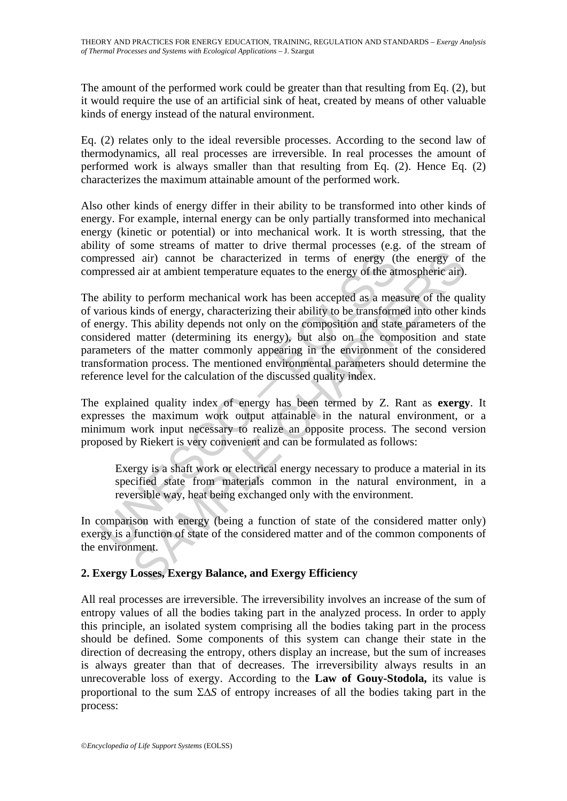The amount of the performed work could be greater than that resulting from Eq. (2), but it would require the use of an artificial sink of heat, created by means of other valuable kinds of energy instead of the natural environment.

Eq. (2) relates only to the ideal reversible processes. According to the second law of thermodynamics, all real processes are irreversible. In real processes the amount of performed work is always smaller than that resulting from Eq. (2). Hence Eq. (2) characterizes the maximum attainable amount of the performed work.

Also other kinds of energy differ in their ability to be transformed into other kinds of energy. For example, internal energy can be only partially transformed into mechanical energy (kinetic or potential) or into mechanical work. It is worth stressing, that the ability of some streams of matter to drive thermal processes (e.g. of the stream of compressed air) cannot be characterized in terms of energy (the energy of the compressed air at ambient temperature equates to the energy of the atmospheric air).

pressed air) cannot be characterized in terms of energy (the areas pressed air at ambient temperature equates to the energy of the att ability to perform mechanical work has been accepted as a mea arious kinds of energy, c d air) cannot be characterized in terms of energy (the energy of dair at ambient temperature equates to the energy of the atmospheric air).<br>to perform mechanical work has been accepted as a measure of the qualities of ener The ability to perform mechanical work has been accepted as a measure of the quality of various kinds of energy, characterizing their ability to be transformed into other kinds of energy. This ability depends not only on the composition and state parameters of the considered matter (determining its energy), but also on the composition and state parameters of the matter commonly appearing in the environment of the considered transformation process. The mentioned environmental parameters should determine the reference level for the calculation of the discussed quality index.

The explained quality index of energy has been termed by Z. Rant as **exergy**. It expresses the maximum work output attainable in the natural environment, or a minimum work input necessary to realize an opposite process. The second version proposed by Riekert is very convenient and can be formulated as follows:

Exergy is a shaft work or electrical energy necessary to produce a material in its specified state from materials common in the natural environment, in a reversible way, heat being exchanged only with the environment.

In comparison with energy (being a function of state of the considered matter only) exergy is a function of state of the considered matter and of the common components of the environment.

## **2. Exergy Losses, Exergy Balance, and Exergy Efficiency**

All real processes are irreversible. The irreversibility involves an increase of the sum of entropy values of all the bodies taking part in the analyzed process. In order to apply this principle, an isolated system comprising all the bodies taking part in the process should be defined. Some components of this system can change their state in the direction of decreasing the entropy, others display an increase, but the sum of increases is always greater than that of decreases. The irreversibility always results in an unrecoverable loss of exergy. According to the **Law of Gouy-Stodola,** its value is proportional to the sum ΣΔ*S* of entropy increases of all the bodies taking part in the process: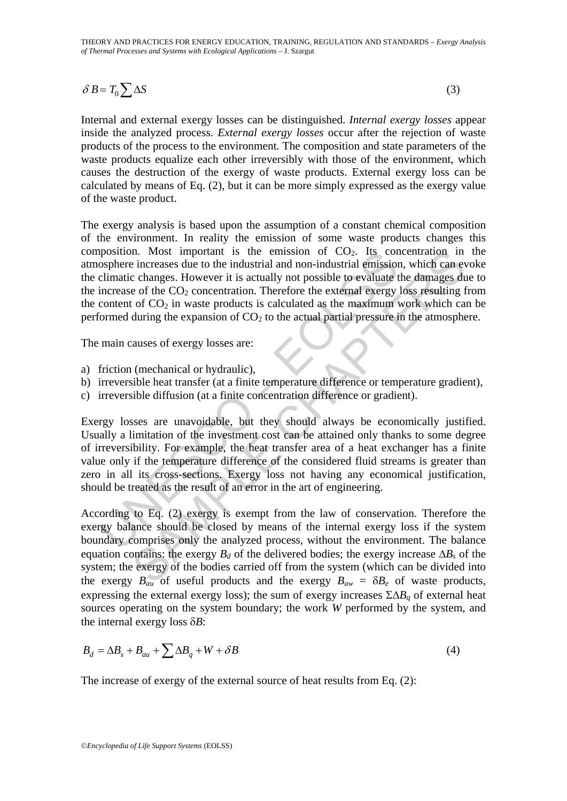THEORY AND PRACTICES FOR ENERGY EDUCATION, TRAINING, REGULATION AND STANDARDS – *Exergy Analysis of Thermal Processes and Systems with Ecological Applications –* J. Szargut

$$
\delta B = T_0 \sum \Delta S \tag{3}
$$

Internal and external exergy losses can be distinguished. *Internal exergy losses* appear inside the analyzed process. *External exergy losses* occur after the rejection of waste products of the process to the environment. The composition and state parameters of the waste products equalize each other irreversibly with those of the environment, which causes the destruction of the exergy of waste products. External exergy loss can be calculated by means of Eq. (2), but it can be more simply expressed as the exergy value of the waste product.

The exergy analysis is based upon the assumption of a constant chemical composition of the environment. In reality the emission of some waste products changes this composition. Most important is the emission of  $CO<sub>2</sub>$ . Its concentration in the atmosphere increases due to the industrial and non-industrial emission, which can evoke the climatic changes. However it is actually not possible to evaluate the damages due to the increase of the  $CO<sub>2</sub>$  concentration. Therefore the external exergy loss resulting from the content of  $CO<sub>2</sub>$  in waste products is calculated as the maximum work which can be performed during the expansion of  $CO<sub>2</sub>$  to the actual partial pressure in the atmosphere.

The main causes of exergy losses are:

- a) friction (mechanical or hydraulic),
- b) irreversible heat transfer (at a finite temperature difference or temperature gradient),
- c) irreversible diffusion (at a finite concentration difference or gradient).

position. Most important is the emission of CO<sub>2</sub>. Its core-<br>osophere increases due to the industrial and non-industrial emission<br>elimatic changes. However it is actually not possible to evaluate tincrease of the CO<sub>2</sub> con Increases due to the industrial and non-industrial emission<br>
in increases due to the industrial and non-industrial emission, which can ever<br>
c changes due to the industrial and non-industrial emission, which can<br>
contage Exergy losses are unavoidable, but they should always be economically justified. Usually a limitation of the investment cost can be attained only thanks to some degree of irreversibility. For example, the heat transfer area of a heat exchanger has a finite value only if the temperature difference of the considered fluid streams is greater than zero in all its cross-sections. Exergy loss not having any economical justification, should be treated as the result of an error in the art of engineering.

According to Eq. (2) exergy is exempt from the law of conservation. Therefore the exergy balance should be closed by means of the internal exergy loss if the system boundary comprises only the analyzed process, without the environment. The balance equation contains: the exergy  $B_d$  of the delivered bodies; the exergy increase  $\Delta B_s$  of the system; the exergy of the bodies carried off from the system (which can be divided into the exergy  $B_{au}$  of useful products and the exergy  $B_{aw} = \delta B_e$  of waste products, expressing the external exergy loss); the sum of exergy increases  $\Sigma \Delta B_q$  of external heat sources operating on the system boundary; the work *W* performed by the system, and the internal exergy loss δ*B*:

$$
B_d = \Delta B_s + B_{au} + \sum \Delta B_q + W + \delta B \tag{4}
$$

The increase of exergy of the external source of heat results from Eq. (2):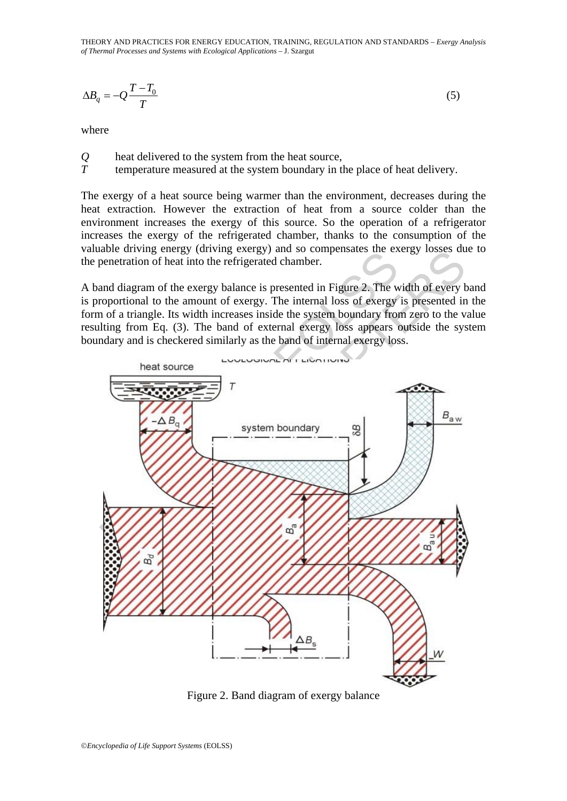THEORY AND PRACTICES FOR ENERGY EDUCATION, TRAINING, REGULATION AND STANDARDS – *Exergy Analysis of Thermal Processes and Systems with Ecological Applications –* J. Szargut

$$
\Delta B_q = -Q \frac{T - T_0}{T} \tag{5}
$$

where

- *Q* heat delivered to the system from the heat source,
- *T* temperature measured at the system boundary in the place of heat delivery.

The exergy of a heat source being warmer than the environment, decreases during the heat extraction. However the extraction of heat from a source colder than the environment increases the exergy of this source. So the operation of a refrigerator increases the exergy of the refrigerated chamber, thanks to the consumption of the valuable driving energy (driving exergy) and so compensates the exergy losses due to the penetration of heat into the refrigerated chamber.

A band diagram of the exergy balance is presented in Figure 2. The width of every band is proportional to the amount of exergy. The internal loss of exergy is presented in the form of a triangle. Its width increases inside the system boundary from zero to the value resulting from Eq. (3). The band of external exergy loss appears outside the system boundary and is checkered similarly as the band of internal exergy loss.



Figure 2. Band diagram of exergy balance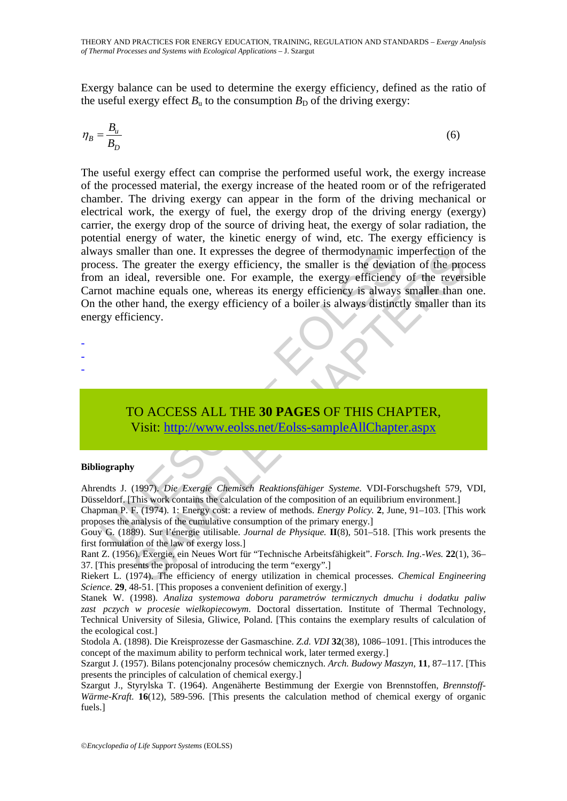Exergy balance can be used to determine the exergy efficiency, defined as the ratio of the useful exergy effect  $B_{\rm u}$  to the consumption  $B_{\rm D}$  of the driving exergy:

$$
\eta_B = \frac{B_u}{B_D} \tag{6}
$$

and the energy efficiency, the smaller than one. It expresses the degree of thermodynamic and an ideal, reversible one. For example, the exergy efficiency on an ideal, reversible one. For example, the exergy efficiency is aller than one. It expresses the degree of thermodynamic imperfection of<br>the greater the excrety efficiency, the smaller is the deviation of the pro-<br>tela, reversible one. For example, the exergy efficiency of the prevers<br> The useful exergy effect can comprise the performed useful work, the exergy increase of the processed material, the exergy increase of the heated room or of the refrigerated chamber. The driving exergy can appear in the form of the driving mechanical or electrical work, the exergy of fuel, the exergy drop of the driving energy (exergy) carrier, the exergy drop of the source of driving heat, the exergy of solar radiation, the potential energy of water, the kinetic energy of wind, etc. The exergy efficiency is always smaller than one. It expresses the degree of thermodynamic imperfection of the process. The greater the exergy efficiency, the smaller is the deviation of the process from an ideal, reversible one. For example, the exergy efficiency of the reversible Carnot machine equals one, whereas its energy efficiency is always smaller than one. On the other hand, the exergy efficiency of a boiler is always distinctly smaller than its energy efficiency.

- -
- -
- -

# TO ACCESS ALL THE **30 PAGES** OF THIS CHAPTER, Visit: http://www.eolss.net/Eolss-sampleAllChapter.aspx

#### **Bibliography**

Ahrendts J. (1997). *Die Exergie Chemisch Reaktionsfähiger Systeme*. VDI-Forschugsheft 579, VDI, Düsseldorf. [This work contains the calculation of the composition of an equilibrium environment.]

Chapman P. F. (1974). 1: Energy cost: a review of methods. *Energy Policy.* **2**, June, 91–103. [This work proposes the analysis of the cumulative consumption of the primary energy.]

Gouy G. (1889). Sur l'énergie utilisable. *Journal de Physique*. **II**(8), 501–518. [This work presents the first formulation of the law of exergy loss.]

Rant Z. (1956). Exergie, ein Neues Wort für "Technische Arbeitsfähigkeit". *Forsch. Ing.-Wes.* **22**(1), 36– 37. [This presents the proposal of introducing the term "exergy".]

Riekert L. (1974). The efficiency of energy utilization in chemical processes. *Chemical Engineering Science.* **29**, 48-51. [This proposes a convenient definition of exergy.]

Stanek W. (1998). *Analiza systemowa doboru parametrów termicznych dmuchu i dodatku paliw*  zast pczych w procesie wielkopiecowym. Doctoral dissertation. Institute of Thermal Technology, Technical University of Silesia, Gliwice, Poland. [This contains the exemplary results of calculation of the ecological cost.]

Stodola A. (1898). Die Kreisprozesse der Gasmaschine. *Z.d. VDI* **32**(38), 1086–1091. [This introduces the concept of the maximum ability to perform technical work, later termed exergy.]

Szargut J. (1957). Bilans potencjonalny procesów chemicznych. *Arch. Budowy Maszyn,* **11**, 87–117. [This presents the principles of calculation of chemical exergy.]

Szargut J., Styrylska T. (1964). Angenäherte Bestimmung der Exergie von Brennstoffen, *Brennstoff-Wärme-Kraft.* **16**(12), 589-596. [This presents the calculation method of chemical exergy of organic fuels.]